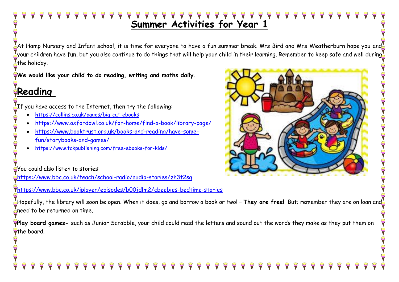# **Summer Activities for Year 1**

 $\,$  At Hamp Nursery and Infant school, it is time for everyone to have a fun summer break. Mrs Bird and Mrs Weatherburn hope you and  $\,$ your children have fun, but you also continue to do things that will help your child in their learning. Remember to keep safe and well during  $\bar{\mathbb{Z}}$  $\sum_{n=1}^{\infty}$ the holiday.

**We would like your child to do reading, writing and maths daily.** 

## **Reading**

 $\mathbf{C}$ 

If you have access to the Internet, then try the following:  $\overline{\phantom{a}}$ 

- <https://collins.co.uk/pages/big-cat-ebooks>
- <https://www.oxfordowl.co.uk/for-home/find-a-book/library-page/>
- [https://www.booktrust.org.uk/books-and-reading/have-some](https://www.booktrust.org.uk/books-and-reading/have-some-fun/storybooks-and-games/)[fun/storybooks-and-games/](https://www.booktrust.org.uk/books-and-reading/have-some-fun/storybooks-and-games/)
- <https://www.tckpublishing.com/free-ebooks-for-kids/>

You could also listen to stories:

<https://www.bbc.co.uk/teach/school-radio/audio-stories/zh3t2sg>

<https://www.bbc.co.uk/iplayer/episodes/b00jdlm2/cbeebies-bedtime-stories>

Hopefully, the library will soon be open. When it does, go and borrow a book or two! – **They are free!** But; remember they are on loan and  $\zeta$ need to be returned on time.

**Play board games-** such as Junior Scrabble, your child could read the letters and sound out the words they make as they put them on **C**the board.



PO-0-2

 $\dot{\textbf{P}}$ 

## $999$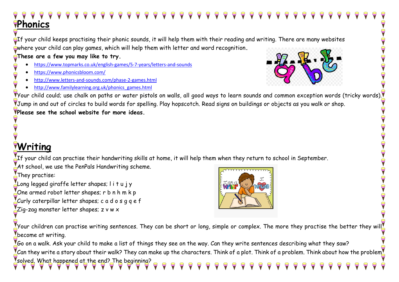### 9 9 9 9 9 9 9 9 9 9 9 9 9 9 9 9  $\blacktriangleright$  $\Theta$ **Phonics**

of your child keeps practising their phonic sounds, it will help them with their reading and writing. There are many websites where your child can play games, which will help them with letter and word recognition**.** 

### **These are a few you may like to try.**

- <https://www.topmarks.co.uk/english-games/5-7-years/letters-and-sounds>
- <https://www.phonicsbloom.com/>
- <http://www.letters-and-sounds.com/phase-2-games.html>
- [http://www.familylearning.org.uk/phonics\\_games.html](http://www.familylearning.org.uk/phonics_games.html)



SPOPOPO

 $\blacktriangledown$ your child could; use chalk on paths or water pistols on walls, all good ways to learn sounds and common exception words (tricky words).  $\blacktriangledown$ Jump in and out of circles to build words for spelling. Play hopscotch. Read signs on buildings or objects as you walk or shop. **Please see the school website for more ideas.**

## **Writing**

If your child can practise their handwriting skills at home, it will help them when they return to school in September.

At school, we use the PenPals Handwriting scheme.

They practise:

Long legged giraffe letter shapes; l i t u j y

One armed robot letter shapes; r b n h m k p

Curly caterpillar letter shapes; c a d o s g g e  $\mathsf f$ 

 $Z$ ig-zag monster letter shapes; z v w  $\times$ 



Your children can practise writing sentences. They can be short or long, simple or complex. The more they practise the better they will  $\blacksquare$ become at writing.

 $\,$  Go on a walk. Ask your child to make a list of things they see on the way. Can they write sentences describing what they saw?  $\zeta$ Can they write a story about their walk? They can make up the characters. Think of a plot. Think of a problem. Think about how the problem $\bar{\zeta}$ solved. What happened at the end? The beginning?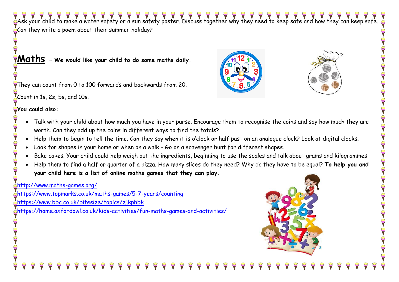Ask your child to make a water safety or a sun safety poster. Discuss together why they need to keep safe and how they can keep safe.  $C$  can they write a poem about their summer holiday?

### **Maths – We would like your child to do some maths daily.**

They can count from 0 to 100 forwards and backwards from 20.

Count in 1s, 2s,  $5s$ , and 10s.

### **You could also:**

 $\overline{a}$ 

PO-0-

T

- Talk with your child about how much you have in your purse. Encourage them to recognise the coins and say how much they are worth. Can they add up the coins in different ways to find the totals?
- Help them to begin to tell the time. Can they say when it is o'clock or half past on an analogue clock? Look at digital clocks.
- Look for shapes in your home or when on a walk Go on a scavenger hunt for different shapes.
- Bake cakes. Your child could help weigh out the ingredients, beginning to use the scales and talk about grams and kilogrammes
- Help them to find a half or quarter of a pizza. How many slices do they need? Why do they have to be equal? **To help you and your child here is a list of online maths games that they can play.**

### <http://www.maths-games.org/>

<https://www.topmarks.co.uk/maths-games/5-7-years/counting> <https://www.bbc.co.uk/bitesize/topics/zjkphbk> <https://home.oxfordowl.co.uk/kids-activities/fun-maths-games-and-activities/>







PO-

 $\dot{\bar{\bm{\mathsf{Y}}}}$ 

COCOCO